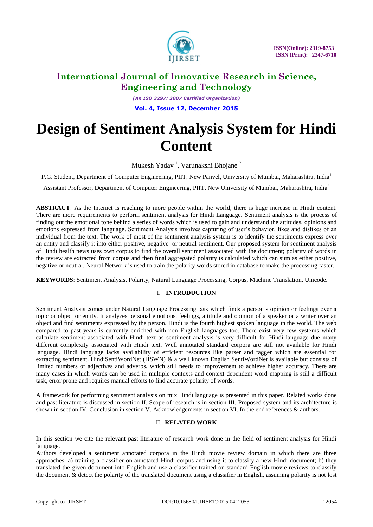

*(An ISO 3297: 2007 Certified Organization)* **Vol. 4, Issue 12, December 2015**

# **Design of Sentiment Analysis System for Hindi Content**

Mukesh Yadav<sup>1</sup>, Varunakshi Bhojane<sup>2</sup>

P.G. Student, Department of Computer Engineering, PIIT, New Panvel, University of Mumbai, Maharashtra, India<sup>1</sup>

Assistant Professor, Department of Computer Engineering, PIIT, New University of Mumbai, Maharashtra, India<sup>2</sup>

**ABSTRACT**: As the Internet is reaching to more people within the world, there is huge increase in Hindi content. There are more requirements to perform sentiment analysis for Hindi Language. Sentiment analysis is the process of finding out the emotional tone behind a series of words which is used to gain and understand the attitudes, opinions and emotions expressed from language. Sentiment Analysis involves capturing of user"s behavior, likes and dislikes of an individual from the text. The work of most of the sentiment analysis system is to identify the sentiments express over an entity and classify it into either positive, negative or neutral sentiment. Our proposed system for sentiment analysis of Hindi health news uses own corpus to find the overall sentiment associated with the document; polarity of words in the review are extracted from corpus and then final aggregated polarity is calculated which can sum as either positive, negative or neutral. Neural Network is used to train the polarity words stored in database to make the processing faster.

**KEYWORDS**: Sentiment Analysis, Polarity, Natural Language Processing, Corpus, Machine Translation, Unicode.

### I. **INTRODUCTION**

Sentiment Analysis comes under Natural Language Processing task which finds a person"s opinion or feelings over a topic or object or entity. It analyzes personal emotions, feelings, attitude and opinion of a speaker or a writer over an object and find sentiments expressed by the person. Hindi is the fourth highest spoken language in the world. The web compared to past years is currently enriched with non English languages too. There exist very few systems which calculate sentiment associated with Hindi text as sentiment analysis is very difficult for Hindi language due many different complexity associated with Hindi text. Well annotated standard corpora are still not available for Hindi language. Hindi language lacks availability of efficient resources like parser and tagger which are essential for extracting sentiment. HindiSentiWordNet (HSWN) & a well known English SentiWordNet is available but consists of limited numbers of adjectives and adverbs, which still needs to improvement to achieve higher accuracy. There are many cases in which words can be used in multiple contexts and context dependent word mapping is still a difficult task, error prone and requires manual efforts to find accurate polarity of words.

A framework for performing sentiment analysis on mix Hindi language is presented in this paper. Related works done and past literature is discussed in section II. Scope of research is in section III. Proposed system and its architecture is shown in section IV. Conclusion in section V. Acknowledgements in section VI. In the end references & authors.

### II. **RELATED WORK**

In this section we cite the relevant past literature of research work done in the field of sentiment analysis for Hindi language.

Authors developed a sentiment annotated corpora in the Hindi movie review domain in which there are three approaches: a) training a classifier on annotated Hindi corpus and using it to classify a new Hindi document; b) they translated the given document into English and use a classifier trained on standard English movie reviews to classify the document & detect the polarity of the translated document using a classifier in English, assuming polarity is not lost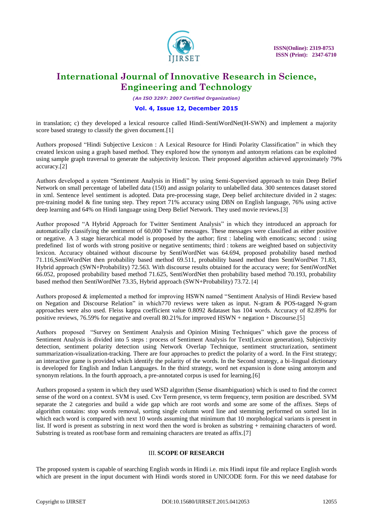

*(An ISO 3297: 2007 Certified Organization)*

### **Vol. 4, Issue 12, December 2015**

in translation; c) they developed a lexical resource called Hindi-SentiWordNet(H-SWN) and implement a majority score based strategy to classify the given document.[1]

Authors proposed "Hindi Subjective Lexicon : A Lexical Resource for Hindi Polarity Classification" in which they created lexicon using a graph based method. They explored how the synonym and antonym relations can be exploited using sample graph traversal to generate the subjectivity lexicon. Their proposed algorithm achieved approximately 79% accuracy.[2]

Authors developed a system "Sentiment Analysis in Hindi" by using Semi-Supervised approach to train Deep Belief Network on small percentage of labelled data (150) and assign polarity to unlabelled data. 300 sentences dataset stored in xml. Sentence level sentiment is adopted. Data pre-processing stage, Deep belief architecture divided in 2 stages: pre-training model & fine tuning step. They report 71% accuracy using DBN on English language, 76% using active deep learning and 64% on Hindi language using Deep Belief Network. They used movie reviews.[3]

Author proposed "A Hybrid Approach for Twitter Sentiment Analysis" in which they introduced an approach for automatically classifying the sentiment of 60,000 Twitter messages. These messages were classified as either positive or negative. A 3 stage hierarchical model is proposed by the author; first : labeling with emoticans; second : using predefined list of words with strong positive or negative sentiments; third : tokens are weighted based on subjectivity lexicon. Accuracy obtained without discourse by SentiWordNet was 64.694, proposed probability based method 71.116,SentiWordNet then probability based method 69.511, probability based method then SentiWordNet 71.83, Hybrid approach (SWN+Probability) 72.563. With discourse results obtained for the accuracy were; for SentiWordNet 66.052, proposed probability based method 71.625, SentiWordNet then probability based method 70.193, probability based method then SentiWordNet 73.35, Hybrid approach (SWN+Probability) 73.72. [4]

Authors proposed & implemented a method for improving HSWN named "Sentiment Analysis of Hindi Review based on Negation and Discourse Relation" in which770 reviews were taken as input. N-gram & POS-tagged N-gram approaches were also used. Fleiss kappa coefficient value 0.8092 &dataset has 104 words. Accuracy of 82.89% for positive reviews, 76.59% for negative and overall 80.21%.for improved HSWN + negation + Discourse.[5]

Authors proposed "Survey on Sentiment Analysis and Opinion Mining Techniques" which gave the process of Sentiment Analysis is divided into 5 steps : process of Sentiment Analysis for Text(Lexicon generation), Subjectivity detection, sentiment polarity detection using Network Overlap Technique, sentiment structurization, sentiment summarization-visualization-tracking. There are four approaches to predict the polarity of a word. In the First strategy; an interactive game is provided which identify the polarity of the words. In the Second strategy, a bi-lingual dictionary is developed for English and Indian Languages. In the third strategy, word net expansion is done using antonym and synonym relations. In the fourth approach, a pre-annotated corpus is used for learning.[6]

Authors proposed a system in which they used WSD algorithm (Sense disambiguation) which is used to find the correct sense of the word on a context. SVM is used. Cxv Term presence, vs term frequency, term position are described. SVM separate the 2 categories and build a wide gap which are root words and some are some of the affixes. Steps of algorithm contains: stop words removal, sorting single column word line and stemming performed on sorted list in which each word is compared with next 10 words assuming that minimum that 10 morphological variants is present in list. If word is present as substring in next word then the word is broken as substring + remaining characters of word. Substring is treated as root/base form and remaining characters are treated as affix.[7]

### III. **SCOPE OF RESEARCH**

The proposed system is capable of searching English words in Hindi i.e. mix Hindi input file and replace English words which are present in the input document with Hindi words stored in UNICODE form. For this we need database for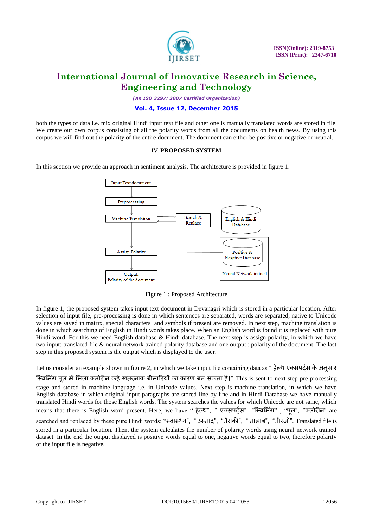

*(An ISO 3297: 2007 Certified Organization)*

### **Vol. 4, Issue 12, December 2015**

both the types of data i.e. mix original Hindi input text file and other one is manually translated words are stored in file. We create our own corpus consisting of all the polarity words from all the documents on health news. By using this corpus we will find out the polarity of the entire document. The document can either be positive or negative or neutral.

### IV.**PROPOSED SYSTEM**

In this section we provide an approach in sentiment analysis. The architecture is provided in figure 1.



Figure 1 : Proposed Architecture

In figure 1, the proposed system takes input text document in Devanagri which is stored in a particular location. After selection of input file, pre-processing is done in which sentences are separated, words are separated, native to Unicode values are saved in matrix, special characters and symbols if present are removed. In next step, machine translation is done in which searching of English in Hindi words takes place. When an English word is found it is replaced with pure Hindi word. For this we need English database & Hindi database. The next step is assign polarity, in which we have two input: translated file & neural network trained polarity database and one output : polarity of the document. The last step in this proposed system is the output which is displayed to the user.

Let us consider an example shown in figure 2, in which we take input file containing data as " हेल्थ एक्सपर्ट्स के अनुसार

स्विमिंग पूल में मिला क्लोरीन कई खतरनाक बीमारियों का कारण बन सकता है।" This is sent to next step pre-processing stage and stored in machine language i.e. in Unicode values. Next step is machine translation, in which we have English database in which original input paragraphs are stored line by line and in Hindi Database we have manually translated Hindi words for those English words. The system searches the values for which Unicode are not same, which means that there is English word present. Here, we have " हेल्थ", " एक्सपर्टस", "स्विमिंग" , "पूल", "क्लोरीन" are searched and replaced by these pure Hindi words: "स्वास्थ्य", " उस्ताद", "तैराकी", " तालाब", "नीरजी". Translated file is stored in a particular location. Then, the system calculates the number of polarity words using neural network trained dataset. In the end the output displayed is positive words equal to one, negative words equal to two, therefore polarity of the input file is negative.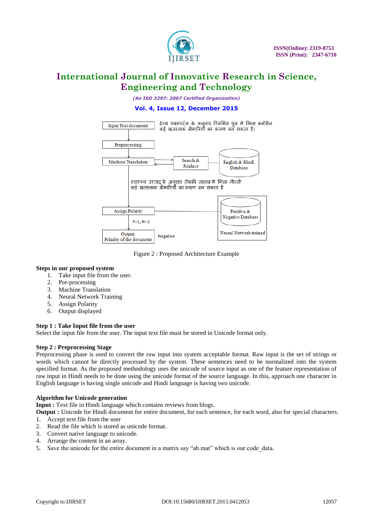

*(An ISO 3297: 2007 Certified Organization)*

### **Vol. 4, Issue 12, December 2015**



Figure 2 : Proposed Architecture Example

### **Steps in our proposed system**

- 1. Take input file from the user.
- 2. Pre-processing
- 3. Machine Translation
- 4. Neural Network Training
- 5. Assign Polarity
- 6. Output displayed

### **Step 1 : Take Input file from the user**

Select the input file from the user. The input text file must be stored in Unicode format only.

### **Step 2 : Preprocessing Stage**

Preprocessing phase is used to convert the raw input into system acceptable format. Raw input is the set of strings or words which cannot be directly processed by the system. These sentences need to be normalized into the system specified format. As the proposed methodology uses the unicode of source input as one of the feature representation of raw input in Hindi needs to be done using the unicode format of the source language. In this, approach one character in English language is having single unicode and Hindi language is having two unicode.

#### **Algorithm for Unicode generation**

**Input :** Text file in Hindi language which contains reviews from blogs.

**Output :** Unicode for Hindi document for entire document, for each sentence, for each word, also for special characters.

- 1. Accept text file from the user
- 2. Read the file which is stored as unicode format.
- 3. Convert native language to unicode.
- 4. Arrange the content in an array.
- 5. Save the unicode for the entire document in a matrix say "ab.mat" which is our code\_data.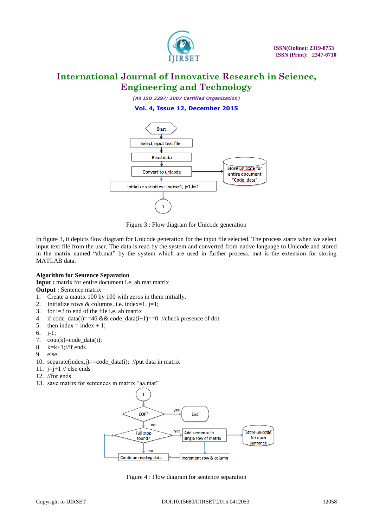

*(An ISO 3297: 2007 Certified Organization)*





Figure 3 : Flow diagram for Unicode generation

In figure 3, it depicts flow diagram for Unicode generation for the input file selected. The process starts when we select input text file from the user. The data is read by the system and converted from native language to Unicode and stored in the matrix named "ab.mat" by the system which are used in further process. mat is the extension for storing MATLAB data.

### **Algorithm for Sentence Separation**

**Input :** matrix for entire document i.e. ab.mat matrix

**Output : Sentence matrix** 

- 1. Create a matrix 100 by 100 with zeros in them initially.
- 2. Initialize rows & columns. i.e. index=1,  $j=1$ ;
- 3. for  $i=3$  to end of the file i.e. ab matrix
- 4. if code\_data(i)==46 && code\_data(i+1)==0 //check presence of dot
- 5. then index = index + 1;
- 6. j-1;
- 7. cout(k)=code\_data(i);
- 8.  $k=k+1$ ://if ends
- 9. else
- 10. separate(index,j)==code\_data(i); //put data in matrix
- 11.  $i=i+1$  // else ends
- 12. //for ends
- 13. save matrix for sentences in matrix "aa.mat"



Figure 4 : Flow diagram for sentence separation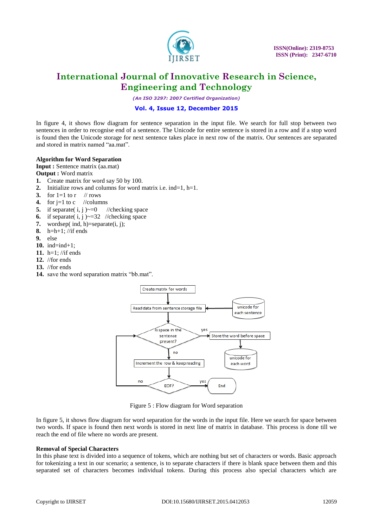

*(An ISO 3297: 2007 Certified Organization)*

### **Vol. 4, Issue 12, December 2015**

In figure 4, it shows flow diagram for sentence separation in the input file. We search for full stop between two sentences in order to recognise end of a sentence. The Unicode for entire sentence is stored in a row and if a stop word is found then the Unicode storage for next sentence takes place in next row of the matrix. Our sentences are separated and stored in matrix named "aa.mat".

### **Algorithm for Word Separation**

**Input :** Sentence matrix (aa.mat)

- **Output :** Word matrix
- **1.** Create matrix for word say 50 by 100.
- **2.** Initialize rows and columns for word matrix i.e. ind=1, h=1.
- **3.** for  $1=1$  to r // rows
- **4.** for  $j=1$  to c //columns
- **5.** if separate( i, j  $\rightarrow$  =0 //checking space
- **6.** if separate( $i$ ,  $j$ ) $\sim$ =32 //checking space
- 7. wordsep(ind, h)=separate(i, j);
- **8.** h=h+1; //if ends
- $9$  else
- **10.** ind=ind+1;
- **11.** h=1; //if ends
- **12.** //for ends
- **13.** //for ends
- **14.** save the word separation matrix "bb.mat".



Figure 5 : Flow diagram for Word separation

In figure 5, it shows flow diagram for word separation for the words in the input file. Here we search for space between two words. If space is found then next words is stored in next line of matrix in database. This process is done till we reach the end of file where no words are present.

### **Removal of Special Characters**

In this phase text is divided into a sequence of tokens, which are nothing but set of characters or words. Basic approach for tokenizing a text in our scenario; a sentence, is to separate characters if there is blank space between them and this separated set of characters becomes individual tokens. During this process also special characters which are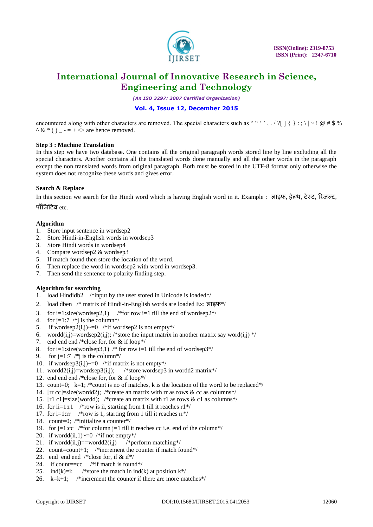

*(An ISO 3297: 2007 Certified Organization)*

### **Vol. 4, Issue 12, December 2015**

encountered along with other characters are removed. The special characters such as ""', . / ? $[ \ ] \ \} : ; \ \$ | ~ ! @ # \$ %  $\wedge \&$  \* ( ) \_ - = + <> are hence removed.

#### **Step 3 : Machine Translation**

In this step we have two database. One contains all the original paragraph words stored line by line excluding all the special characters. Another contains all the translated words done manually and all the other words in the paragraph except the non translated words from original paragraph. Both must be stored in the UTF-8 format only otherwise the system does not recognize these words and gives error.

### **Search & Replace**

In this section we search for the Hindi word which is having English word in it. Example : ऱाइफ, हेल्थ, टेवट, ररजल्ट, पॉजिटिव $_{\rm etc.}$ 

### **Algorithm**

- 1. Store input sentence in wordsep2
- 2. Store Hindi-in-English words in wordsep3
- 3. Store Hindi words in wordsep4
- 4. Compare wordsep2 & wordsep3
- 5. If match found then store the location of the word.
- 6. Then replace the word in wordsep2 with word in wordsep3.
- 7. Then send the sentence to polarity finding step.

### **Algorithm for searching**

- 1. load Hindidb2 /\*input by the user stored in Unicode is loaded\*/
- 2. load dben /\* matrix of Hindi-in-English words are loaded Ex: लाइफ\*/
- 3. for  $i=1$ :size(wordsep2,1) /\*for row  $i=1$  till the end of wordsep2\*/
- 4. for  $j=1:7$  /\*j is the column\*/
- 5. if wordsep2(i,j) $\sim=0$  /\*if wordsep2 is not empty\*/
- 6. wordd(i,j)=wordsep2(i,j); /\*store the input matrix in another matrix say word(i,j) \*/
- 7. end end end /\*close for, for & if loop\*/
- 8. for i=1:size(wordsep3,1) /\* for row i=1 till the end of wordsep3\*/
- 9. for  $j=1:7$  /\*j is the column\*/
- 10. if wordsep3 $(i,j) \sim = 0$  /\*if matrix is not empty\*/
- 11. wordd $2(i,j)$ =wordsep $3(i,j)$ ; /\*store wordsep3 in wordd2 matrix\*/
- 12. end end  $\frac{*}{\text{close}}$  for, for & if loop\*/
- 13. count=0;  $k=1$ ; /\*count is no of matches, k is the location of the word to be replaced\*/
- 14. [rr cc]=size(wordd2); /\*create an matrix with rr as rows & cc as columns\*/
- 15. [r1 c1]=size(wordd); /\*create an matrix with r1 as rows & c1 as columns\*/
- 16. for ii=1:r1 /\*row is ii, starting from 1 till it reaches  $r1*/$
- 17. for i=1:rr /\*row is 1, starting from 1 till it reaches  $\text{rr}^*/$
- 18. count=0; /\*initialize a counter\*/
- 19. for  $j=1$ :cc /\*for column  $j=1$  till it reaches cc i.e. end of the column\*/
- 20. if wordd $(ii.1) \sim = 0$  /\*if not empty\*/
- 21. if wordd(ii,j)==wordd2(i,j) /\*perform matching\*/
- 22. count=count+1; /\*increment the counter if match found\*/
- 23. end end end  $/*$ close for, if & if\*/
- 24. if count= $=cc$  /\*if match is found\*/
- 25. ind(k)=i; /\*store the match in ind(k) at position  $k*/$
- 26.  $k=k+1$ ; /\*increment the counter if there are more matches\*/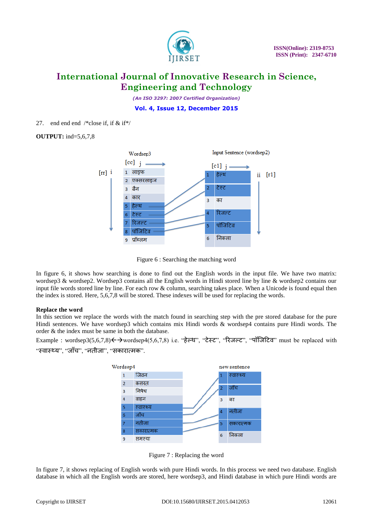

*(An ISO 3297: 2007 Certified Organization)*

**Vol. 4, Issue 12, December 2015**

27. end end end /\*close if, if  $&$  if\*/

**OUTPUT:** ind=5,6,7,8



Figure 6 : Searching the matching word

In figure 6, it shows how searching is done to find out the English words in the input file. We have two matrix: wordsep3 & wordsep2. Wordsep3 contains all the English words in Hindi stored line by line & wordsep2 contains our input file words stored line by line. For each row & column, searching takes place. When a Unicode is found equal then the index is stored. Here, 5,6,7,8 will be stored. These indexes will be used for replacing the words.

### **Replace the word**

In this section we replace the words with the match found in searching step with the pre stored database for the pure Hindi sentences. We have wordsep3 which contains mix Hindi words & wordsep4 contains pure Hindi words. The order & the index must be same in both the database.

Example : wordsep3(5,6,7,8) < $\rightarrow$ wordsep4(5,6,7,8) i.e. "हेल्थ", "टेस्ट", "रिजल्ट", "पॉजिटिव" must be replaced with "स्वास्थ्य", "जाँच", "[नतीजा](http://dict.hinkhoj.com/words/meaning-of-%E0%A4%A8%E0%A4%A4%E0%A5%80%E0%A4%9C%E0%A4%BE%20%E0%A4%A8%E0%A4%BF%E0%A4%95%E0%A4%B2%E0%A4%A8%E0%A4%BE-in-english.html)", "सकारात्मक".



Figure 7 : Replacing the word

In figure 7, it shows replacing of English words with pure Hindi words. In this process we need two database. English database in which all the English words are stored, here wordsep3, and Hindi database in which pure Hindi words are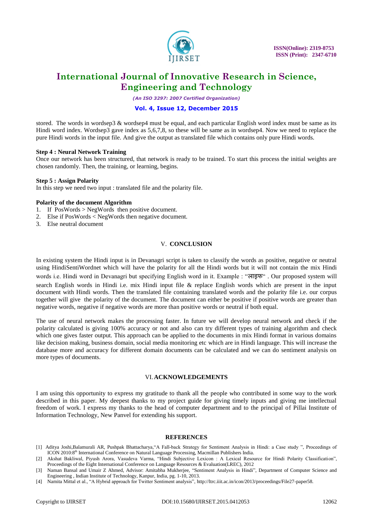

*(An ISO 3297: 2007 Certified Organization)*

### **Vol. 4, Issue 12, December 2015**

stored. The words in wordsep3  $\&$  wordsep4 must be equal, and each particular English word index must be same as its Hindi word index. Wordsep3 gave index as 5,6,7,8, so these will be same as in wordsep4. Now we need to replace the pure Hindi words in the input file. And give the output as translated file which contains only pure Hindi words.

#### **Step 4 : Neural Network Training**

Once our network has been structured, that network is ready to be trained. To start this process the initial weights are chosen randomly. Then, the training, or learning, begins.

#### **Step 5 : Assign Polarity**

In this step we need two input : translated file and the polarity file.

#### **Polarity of the document Algorithm**

- 1. If PosWords > NegWords then positive document.
- 2. Else if PosWords < NegWords then negative document.
- 3. Else neutral document

#### V. **CONCLUSION**

In existing system the Hindi input is in Devanagri script is taken to classify the words as positive, negative or neutral using HindiSentiWordnet which will have the polarity for all the Hindi words but it will not contain the mix Hindi words i.e. Hindi word in Devanagri but specifying English word in it. Example : "ऱाइफ" . Our proposed system will search English words in Hindi i.e. mix Hindi input file & replace English words which are present in the input document with Hindi words. Then the translated file containing translated words and the polarity file i.e. our corpus together will give the polarity of the document. The document can either be positive if positive words are greater than negative words, negative if negative words are more than positive words or neutral if both equal.

The use of neural network makes the processing faster. In future we will develop neural network and check if the polarity calculated is giving 100% accuracy or not and also can try different types of training algorithm and check which one gives faster output. This approach can be applied to the documents in mix Hindi format in various domains like decision making, business domain, social media monitoring etc which are in Hindi language. This will increase the database more and accuracy for different domain documents can be calculated and we can do sentiment analysis on more types of documents.

#### VI.**ACKNOWLEDGEMENTS**

I am using this opportunity to express my gratitude to thank all the people who contributed in some way to the work described in this paper. My deepest thanks to my project guide for giving timely inputs and giving me intellectual freedom of work. I express my thanks to the head of computer department and to the principal of Pillai Institute of Information Technology, New Panvel for extending his support.

#### **REFERENCES**

[1] Aditya Joshi,Balamurali AR, Pushpak Bhattacharya,"A Fall-back Strategy for Sentiment Analysis in Hindi: a Case study ", Proceedings of ICON 2010:8th International Conference on Natural Language Processing, Macmillan Publishers India.

[4] Namita Mittal et al., "A Hybrid approach for Twitter Sentiment analysis", http://ltrc.iiit.ac.in/icon/2013/proceedings/File27-paper58.

<sup>[2]</sup> Akshat Bakliwal, Piyush Arora, Vasudeva Varma, "Hindi Subjective Lexicon : A Lexical Resource for Hindi Polarity Classification", Proceedings of the Eight International Conference on Language Resources & Evaluation(LREC), 2012

<sup>[3]</sup> Naman Bansal and Umair Z Ahmed, Advisor: Amitabha Mukherjee, "Sentiment Analysis in Hindi", Department of Computer Science and Engineering , Indian Institute of Technology, Kanpur, India, pg. 1-10, 2013.